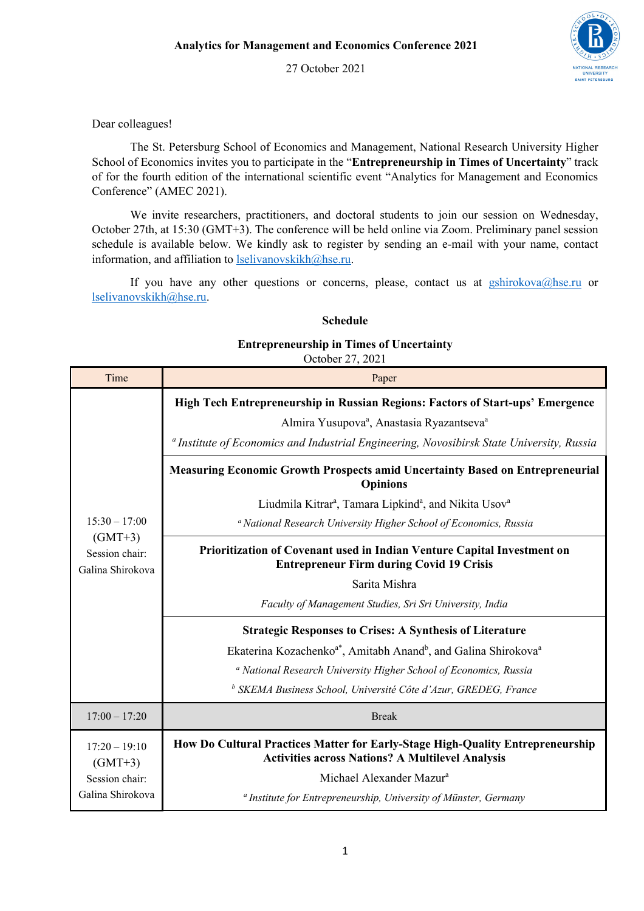

27 October 2021

## Dear colleagues!

The St. Petersburg School of Economics and Management, National Research University Higher School of Economics invites you to participate in the "**Entrepreneurship in Times of Uncertainty**" track of for the fourth edition of the international scientific event "Analytics for Management and Economics Conference" (AMEC 2021).

We invite researchers, practitioners, and doctoral students to join our session on Wednesday, October 27th, at 15:30 (GMT+3). The conference will be held online via Zoom. Preliminary panel session schedule is available below. We kindly ask to register by sending an e-mail with your name, contact information, and affiliation to lselivanovskikh@hse.ru.

If you have any other questions or concerns, please, contact us at  $gshirokova@hse.ru$  or lselivanovskikh@hse.ru.

## **Schedule**

## **Entrepreneurship in Times of Uncertainty**

October 27, 2021

| Time                                                               | Paper                                                                                                                                     |
|--------------------------------------------------------------------|-------------------------------------------------------------------------------------------------------------------------------------------|
| $15:30 - 17:00$<br>$(GMT+3)$<br>Session chair:<br>Galina Shirokova | High Tech Entrepreneurship in Russian Regions: Factors of Start-ups' Emergence                                                            |
|                                                                    | Almira Yusupova <sup>a</sup> , Anastasia Ryazantseva <sup>a</sup>                                                                         |
|                                                                    | <sup>a</sup> Institute of Economics and Industrial Engineering, Novosibirsk State University, Russia                                      |
|                                                                    | <b>Measuring Economic Growth Prospects amid Uncertainty Based on Entrepreneurial</b><br><b>Opinions</b>                                   |
|                                                                    | Liudmila Kitrar <sup>a</sup> , Tamara Lipkind <sup>a</sup> , and Nikita Usov <sup>a</sup>                                                 |
|                                                                    | <sup>a</sup> National Research University Higher School of Economics, Russia                                                              |
|                                                                    | Prioritization of Covenant used in Indian Venture Capital Investment on<br><b>Entrepreneur Firm during Covid 19 Crisis</b>                |
|                                                                    | Sarita Mishra                                                                                                                             |
|                                                                    | Faculty of Management Studies, Sri Sri University, India                                                                                  |
|                                                                    | <b>Strategic Responses to Crises: A Synthesis of Literature</b>                                                                           |
|                                                                    | Ekaterina Kozachenko <sup>a*</sup> , Amitabh Anand <sup>b</sup> , and Galina Shirokova <sup>a</sup>                                       |
|                                                                    | <sup>a</sup> National Research University Higher School of Economics, Russia                                                              |
|                                                                    | <sup>b</sup> SKEMA Business School, Université Côte d'Azur, GREDEG, France                                                                |
| $17:00 - 17:20$                                                    | <b>Break</b>                                                                                                                              |
| $17:20 - 19:10$<br>$(GMT+3)$                                       | How Do Cultural Practices Matter for Early-Stage High-Quality Entrepreneurship<br><b>Activities across Nations? A Multilevel Analysis</b> |
| Session chair:                                                     | Michael Alexander Mazur <sup>a</sup>                                                                                                      |
| Galina Shirokova                                                   | <sup>a</sup> Institute for Entrepreneurship, University of Münster, Germany                                                               |